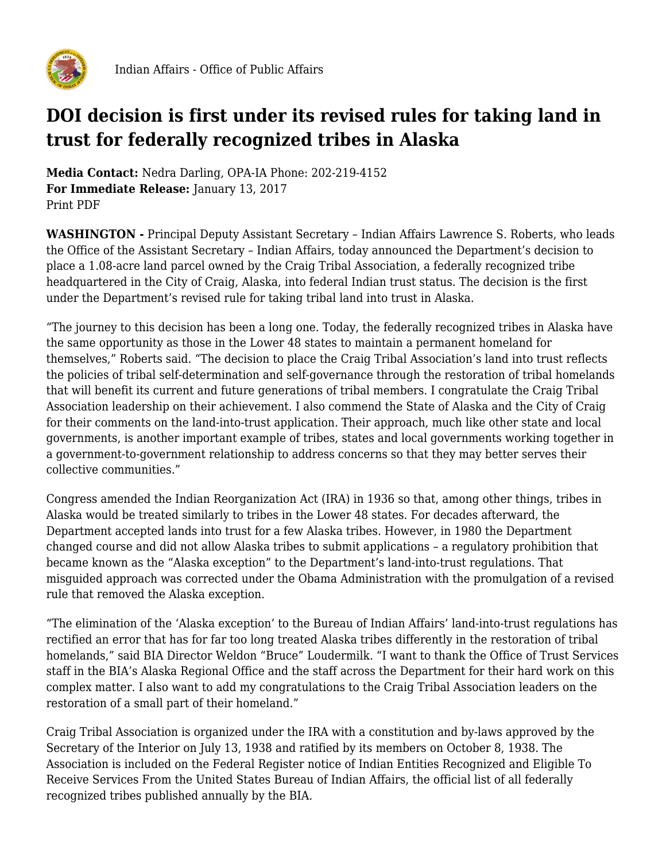

## **DOI decision is first under its revised rules for taking land in trust for federally recognized tribes in Alaska**

**Media Contact:** Nedra Darling, OPA-IA Phone: 202-219-4152 **For Immediate Release:** January 13, 2017 Print PDF

**WASHINGTON -** Principal Deputy Assistant Secretary – Indian Affairs Lawrence S. Roberts, who leads the Office of the Assistant Secretary – Indian Affairs, today announced the Department's decision to place a 1.08-acre land parcel owned by the Craig Tribal Association, a federally recognized tribe headquartered in the City of Craig, Alaska, into federal Indian trust status. The decision is the first under the Department's revised rule for taking tribal land into trust in Alaska.

"The journey to this decision has been a long one. Today, the federally recognized tribes in Alaska have the same opportunity as those in the Lower 48 states to maintain a permanent homeland for themselves," Roberts said. "The decision to place the Craig Tribal Association's land into trust reflects the policies of tribal self-determination and self-governance through the restoration of tribal homelands that will benefit its current and future generations of tribal members. I congratulate the Craig Tribal Association leadership on their achievement. I also commend the State of Alaska and the City of Craig for their comments on the land-into-trust application. Their approach, much like other state and local governments, is another important example of tribes, states and local governments working together in a government-to-government relationship to address concerns so that they may better serves their collective communities."

Congress amended the Indian Reorganization Act (IRA) in 1936 so that, among other things, tribes in Alaska would be treated similarly to tribes in the Lower 48 states. For decades afterward, the Department accepted lands into trust for a few Alaska tribes. However, in 1980 the Department changed course and did not allow Alaska tribes to submit applications – a regulatory prohibition that became known as the "Alaska exception" to the Department's land-into-trust regulations. That misguided approach was corrected under the Obama Administration with the promulgation of a revised rule that removed the Alaska exception.

"The elimination of the 'Alaska exception' to the Bureau of Indian Affairs' land-into-trust regulations has rectified an error that has for far too long treated Alaska tribes differently in the restoration of tribal homelands," said BIA Director Weldon "Bruce" Loudermilk. "I want to thank the Office of Trust Services staff in the BIA's Alaska Regional Office and the staff across the Department for their hard work on this complex matter. I also want to add my congratulations to the Craig Tribal Association leaders on the restoration of a small part of their homeland."

Craig Tribal Association is organized under the IRA with a constitution and by-laws approved by the Secretary of the Interior on July 13, 1938 and ratified by its members on October 8, 1938. The Association is included on the Federal Register notice of Indian Entities Recognized and Eligible To Receive Services From the United States Bureau of Indian Affairs, the official list of all federally recognized tribes published annually by the BIA.